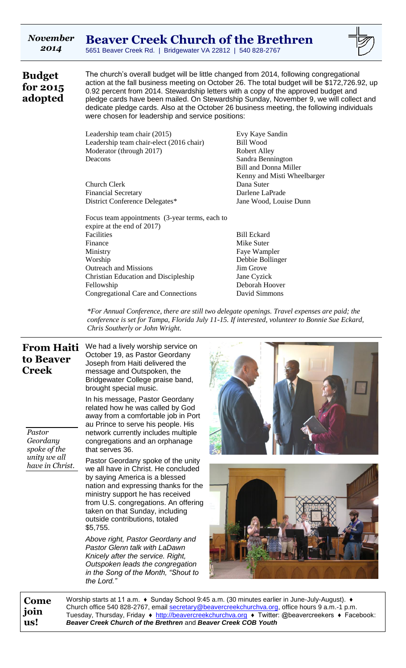| <b>November</b><br>2014                            | <b>Beaver Creek Church of the Brethren</b><br>5651 Beaver Creek Rd.   Bridgewater VA 22812   540 828-2767                                                                                                                                                                                                                                                                                                                                                                                                               |                                                                                                                                                                                                                                                                                                         |  |  |  |  |
|----------------------------------------------------|-------------------------------------------------------------------------------------------------------------------------------------------------------------------------------------------------------------------------------------------------------------------------------------------------------------------------------------------------------------------------------------------------------------------------------------------------------------------------------------------------------------------------|---------------------------------------------------------------------------------------------------------------------------------------------------------------------------------------------------------------------------------------------------------------------------------------------------------|--|--|--|--|
| <b>Budget</b><br>for 2015<br>adopted               | The church's overall budget will be little changed from 2014, following congregational<br>action at the fall business meeting on October 26. The total budget will be \$172,726.92, up<br>0.92 percent from 2014. Stewardship letters with a copy of the approved budget and<br>pledge cards have been mailed. On Stewardship Sunday, November 9, we will collect and<br>dedicate pledge cards. Also at the October 26 business meeting, the following individuals<br>were chosen for leadership and service positions: |                                                                                                                                                                                                                                                                                                         |  |  |  |  |
|                                                    | Leadership team chair (2015)<br>Leadership team chair-elect (2016 chair)<br>Moderator (through 2017)<br>Deacons                                                                                                                                                                                                                                                                                                                                                                                                         | Evy Kaye Sandin<br><b>Bill Wood</b><br><b>Robert Alley</b><br>Sandra Bennington<br><b>Bill and Donna Miller</b><br>Kenny and Misti Wheelbarger                                                                                                                                                          |  |  |  |  |
|                                                    | Church Clerk<br><b>Financial Secretary</b><br>District Conference Delegates*                                                                                                                                                                                                                                                                                                                                                                                                                                            | Dana Suter<br>Darlene LaPrade<br>Jane Wood, Louise Dunn                                                                                                                                                                                                                                                 |  |  |  |  |
|                                                    | Focus team appointments (3-year terms, each to<br>expire at the end of 2017)<br>Facilities<br>Finance<br>Ministry<br>Worship<br><b>Outreach and Missions</b><br><b>Christian Education and Discipleship</b><br>Fellowship<br>Congregational Care and Connections                                                                                                                                                                                                                                                        | <b>Bill Eckard</b><br>Mike Suter<br>Faye Wampler<br>Debbie Bollinger<br>Jim Grove<br>Jane Cyzick<br>Deborah Hoover<br>David Simmons                                                                                                                                                                     |  |  |  |  |
|                                                    | Chris Southerly or John Wright.                                                                                                                                                                                                                                                                                                                                                                                                                                                                                         | *For Annual Conference, there are still two delegate openings. Travel expenses are paid; the<br>conference is set for Tampa, Florida July 11-15. If interested, volunteer to Bonnie Sue Eckard,                                                                                                         |  |  |  |  |
| <b>From Haiti</b><br>to Beaver<br><b>Creek</b>     | We had a lively worship service on<br>October 19, as Pastor Geordany<br>Joseph from Haiti delivered the<br>message and Outspoken, the<br>Bridgewater College praise band,<br>brought special music.<br>In his message, Pastor Geordany<br>related how he was called by God<br>away from a comfortable job in Port<br>au Prince to serve his people. His                                                                                                                                                                 |                                                                                                                                                                                                                                                                                                         |  |  |  |  |
| Pastor<br>Geordany<br>spoke of the<br>unity we all | network currently includes multiple<br>congregations and an orphanage<br>that serves 36.                                                                                                                                                                                                                                                                                                                                                                                                                                |                                                                                                                                                                                                                                                                                                         |  |  |  |  |
| have in Christ.                                    | Pastor Geordany spoke of the unity<br>we all have in Christ. He concluded<br>by saying America is a blessed<br>nation and expressing thanks for the<br>ministry support he has received<br>from U.S. congregations. An offering<br>taken on that Sunday, including<br>outside contributions, totaled<br>\$5,755.                                                                                                                                                                                                        |                                                                                                                                                                                                                                                                                                         |  |  |  |  |
|                                                    | Above right, Pastor Geordany and<br>Pastor Glenn talk with LaDawn<br>Knicely after the service. Right,<br>Outspoken leads the congregation<br>in the Song of the Month, "Shout to<br>the Lord."                                                                                                                                                                                                                                                                                                                         |                                                                                                                                                                                                                                                                                                         |  |  |  |  |
| Come<br>join<br>us!                                | Beaver Creek Church of the Brethren and Beaver Creek COB Youth                                                                                                                                                                                                                                                                                                                                                                                                                                                          | Worship starts at 11 a.m. ♦ Sunday School 9:45 a.m. (30 minutes earlier in June-July-August). ♦<br>Church office 540 828-2767, email secretary@beavercreekchurchva.org, office hours 9 a.m.-1 p.m.<br>Tuesday, Thursday, Friday ♦ http://beavercreekchurchva.org ♦ Twitter: @beavercreekers ♦ Facebook: |  |  |  |  |

 $\mathbf{H}$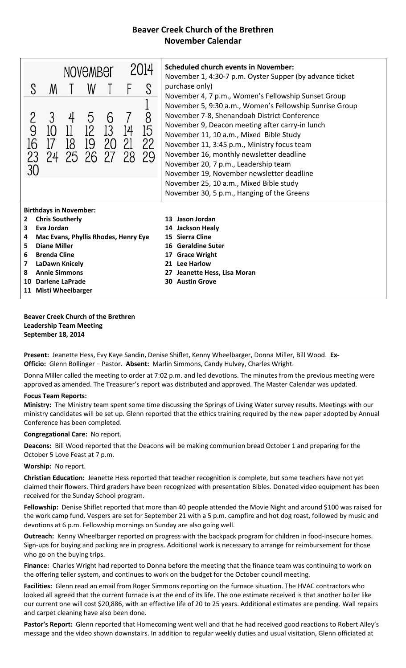# **Beaver Creek Church of the Brethren November Calendar**

| 2014<br>NOVEMBEL                                                                                                                                                                                                                                                                                     |         |                                    |           |               | <b>Scheduled church events in November:</b><br>November 1, 4:30-7 p.m. Oyster Supper (by advance ticket                                                                                               |               |                                                                                                                                                                                                                                                                                                                                                                                                                                                                                |
|------------------------------------------------------------------------------------------------------------------------------------------------------------------------------------------------------------------------------------------------------------------------------------------------------|---------|------------------------------------|-----------|---------------|-------------------------------------------------------------------------------------------------------------------------------------------------------------------------------------------------------|---------------|--------------------------------------------------------------------------------------------------------------------------------------------------------------------------------------------------------------------------------------------------------------------------------------------------------------------------------------------------------------------------------------------------------------------------------------------------------------------------------|
| S                                                                                                                                                                                                                                                                                                    | M       |                                    | W         |               |                                                                                                                                                                                                       |               | purchase only)<br>November 4, 7 p.m., Women's Fellowship Sunset Group                                                                                                                                                                                                                                                                                                                                                                                                          |
| 9<br>16<br>23<br>30                                                                                                                                                                                                                                                                                  | 3<br>10 | 4<br>11<br>18<br>24 25 26 27 28 29 | 5<br>- 19 | 6<br>13<br>20 | 14<br>-21                                                                                                                                                                                             | 8<br>15<br>22 | November 5, 9:30 a.m., Women's Fellowship Sunrise Group<br>November 7-8, Shenandoah District Conference<br>November 9, Deacon meeting after carry-in lunch<br>November 11, 10 a.m., Mixed Bible Study<br>November 11, 3:45 p.m., Ministry focus team<br>November 16, monthly newsletter deadline<br>November 20, 7 p.m., Leadership team<br>November 19, November newsletter deadline<br>November 25, 10 a.m., Mixed Bible study<br>November 30, 5 p.m., Hanging of the Greens |
| <b>Birthdays in November:</b><br><b>Chris Southerly</b><br>$\mathbf{2}$<br>Eva Jordan<br>3<br>Mac Evans, Phyllis Rhodes, Henry Eye<br>4<br><b>Diane Miller</b><br>5<br><b>Brenda Cline</b><br>6<br>LaDawn Knicely<br>7<br><b>Annie Simmons</b><br>8<br>Darlene LaPrade<br>10<br>11 Misti Wheelbarger |         |                                    |           |               | 13 Jason Jordan<br>14 Jackson Healy<br>15 Sierra Cline<br><b>Geraldine Suter</b><br>16<br><b>Grace Wright</b><br>17<br><b>Lee Harlow</b><br>21<br>Jeanette Hess, Lisa Moran<br><b>30 Austin Grove</b> |               |                                                                                                                                                                                                                                                                                                                                                                                                                                                                                |

**Beaver Creek Church of the Brethren Leadership Team Meeting September 18, 2014**

**Present:** Jeanette Hess, Evy Kaye Sandin, Denise Shiflet, Kenny Wheelbarger, Donna Miller, Bill Wood. **Ex-Officio:** Glenn Bollinger – Pastor. **Absent:** Marlin Simmons, Candy Hulvey, Charles Wright.

Donna Miller called the meeting to order at 7:02 p.m. and led devotions. The minutes from the previous meeting were approved as amended. The Treasurer's report was distributed and approved. The Master Calendar was updated.

### **Focus Team Reports:**

**Ministry:** The Ministry team spent some time discussing the Springs of Living Water survey results. Meetings with our ministry candidates will be set up. Glenn reported that the ethics training required by the new paper adopted by Annual Conference has been completed.

**Congregational Care:** No report.

**Deacons:** Bill Wood reported that the Deacons will be making communion bread October 1 and preparing for the October 5 Love Feast at 7 p.m.

### **Worship:** No report.

**Christian Education:** Jeanette Hess reported that teacher recognition is complete, but some teachers have not yet claimed their flowers. Third graders have been recognized with presentation Bibles. Donated video equipment has been received for the Sunday School program.

**Fellowship:** Denise Shiflet reported that more than 40 people attended the Movie Night and around \$100 was raised for the work camp fund. Vespers are set for September 21 with a 5 p.m. campfire and hot dog roast, followed by music and devotions at 6 p.m. Fellowship mornings on Sunday are also going well.

**Outreach:** Kenny Wheelbarger reported on progress with the backpack program for children in food-insecure homes. Sign-ups for buying and packing are in progress. Additional work is necessary to arrange for reimbursement for those who go on the buying trips.

**Finance:** Charles Wright had reported to Donna before the meeting that the finance team was continuing to work on the offering teller system, and continues to work on the budget for the October council meeting.

**Facilities:** Glenn read an email from Roger Simmons reporting on the furnace situation. The HVAC contractors who looked all agreed that the current furnace is at the end of its life. The one estimate received is that another boiler like our current one will cost \$20,886, with an effective life of 20 to 25 years. Additional estimates are pending. Wall repairs and carpet cleaning have also been done.

**Pastor's Report:** Glenn reported that Homecoming went well and that he had received good reactions to Robert Alley's message and the video shown downstairs. In addition to regular weekly duties and usual visitation, Glenn officiated at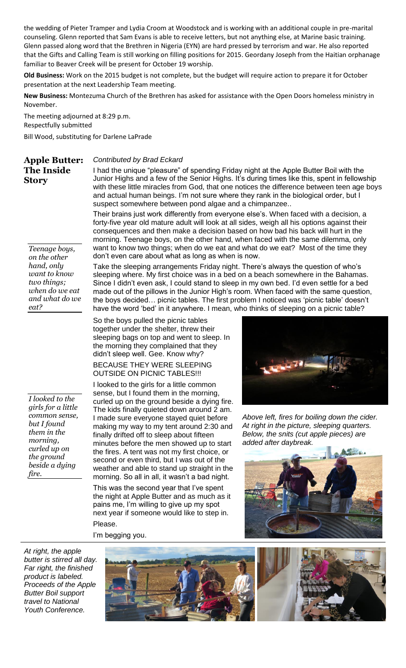the wedding of Pieter Tramper and Lydia Croom at Woodstock and is working with an additional couple in pre-marital counseling. Glenn reported that Sam Evans is able to receive letters, but not anything else, at Marine basic training. Glenn passed along word that the Brethren in Nigeria (EYN) are hard pressed by terrorism and war. He also reported that the Gifts and Calling Team is still working on filling positions for 2015. Geordany Joseph from the Haitian orphanage familiar to Beaver Creek will be present for October 19 worship.

**Old Business:** Work on the 2015 budget is not complete, but the budget will require action to prepare it for October presentation at the next Leadership Team meeting.

**New Business:** Montezuma Church of the Brethren has asked for assistance with the Open Doors homeless ministry in November.

The meeting adjourned at 8:29 p.m. Respectfully submitted

Bill Wood, substituting for Darlene LaPrade

## **Apple Butter: The Inside Story**

### *Contributed by Brad Eckard*

I had the unique "pleasure" of spending Friday night at the Apple Butter Boil with the Junior Highs and a few of the Senior Highs. It's during times like this, spent in fellowship with these little miracles from God, that one notices the difference between teen age boys and actual human beings. I'm not sure where they rank in the biological order, but I suspect somewhere between pond algae and a chimpanzee..

Their brains just work differently from everyone else's. When faced with a decision, a forty-five year old mature adult will look at all sides, weigh all his options against their consequences and then make a decision based on how bad his back will hurt in the morning. Teenage boys, on the other hand, when faced with the same dilemma, only want to know two things; when do we eat and what do we eat? Most of the time they don't even care about what as long as when is now.

*Teenage boys, on the other hand, only want to know two things; when do we eat and what do we eat?*

*I looked to the girls for a little common sense, but I found them in the morning, curled up on the ground beside a dying fire.*

Take the sleeping arrangements Friday night. There's always the question of who's sleeping where. My first choice was in a bed on a beach somewhere in the Bahamas. Since I didn't even ask, I could stand to sleep in my own bed. I'd even settle for a bed made out of the pillows in the Junior High's room. When faced with the same question, the boys decided… picnic tables. The first problem I noticed was 'picnic table' doesn't have the word 'bed' in it anywhere. I mean, who thinks of sleeping on a picnic table?

So the boys pulled the picnic tables together under the shelter, threw their sleeping bags on top and went to sleep. In the morning they complained that they didn't sleep well. Gee. Know why? BECAUSE THEY WERE SLEEPING OUTSIDE ON PICNIC TABLES!!!

I looked to the girls for a little common sense, but I found them in the morning, curled up on the ground beside a dying fire. The kids finally quieted down around 2 am. I made sure everyone stayed quiet before making my way to my tent around 2:30 and finally drifted off to sleep about fifteen minutes before the men showed up to start the fires. A tent was not my first choice, or second or even third, but I was out of the weather and able to stand up straight in the morning. So all in all, it wasn't a bad night.

This was the second year that I've spent the night at Apple Butter and as much as it pains me, I'm willing to give up my spot next year if someone would like to step in. Please.

I'm begging you.



*Above left, fires for boiling down the cider. At right in the picture, sleeping quarters. Below, the snits (cut apple pieces) are added after daybreak.*



*At right, the apple butter is stirred all day. Far right, the finished product is labeled. Proceeds of the Apple Butter Boil support travel to National Youth Conference.*